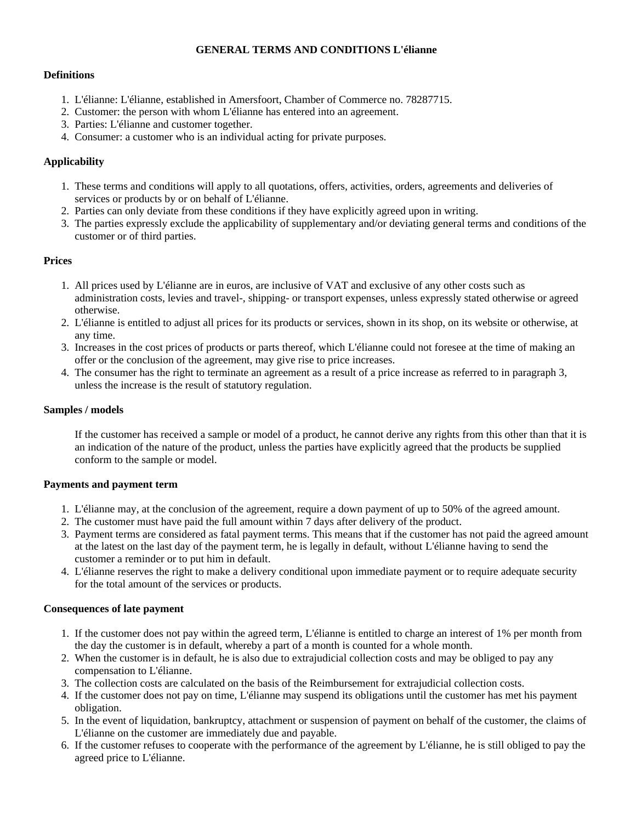#### **GENERAL TERMS AND CONDITIONS L'élianne**

#### **Definitions**

- 1. L'élianne: L'élianne, established in Amersfoort, Chamber of Commerce no. 78287715.
- 2. Customer: the person with whom L'élianne has entered into an agreement.
- 3. Parties: L'élianne and customer together.
- 4. Consumer: a customer who is an individual acting for private purposes.

### **Applicability**

- 1. These terms and conditions will apply to all quotations, offers, activities, orders, agreements and deliveries of services or products by or on behalf of L'élianne.
- 2. Parties can only deviate from these conditions if they have explicitly agreed upon in writing.
- 3. The parties expressly exclude the applicability of supplementary and/or deviating general terms and conditions of the customer or of third parties.

#### **Prices**

- 1. All prices used by L'élianne are in euros, are inclusive of VAT and exclusive of any other costs such as administration costs, levies and travel-, shipping- or transport expenses, unless expressly stated otherwise or agreed otherwise.
- 2. L'élianne is entitled to adjust all prices for its products or services, shown in its shop, on its website or otherwise, at any time.
- 3. Increases in the cost prices of products or parts thereof, which L'élianne could not foresee at the time of making an offer or the conclusion of the agreement, may give rise to price increases.
- 4. The consumer has the right to terminate an agreement as a result of a price increase as referred to in paragraph 3, unless the increase is the result of statutory regulation.

#### **Samples / models**

If the customer has received a sample or model of a product, he cannot derive any rights from this other than that it is an indication of the nature of the product, unless the parties have explicitly agreed that the products be supplied conform to the sample or model.

#### **Payments and payment term**

- 1. L'élianne may, at the conclusion of the agreement, require a down payment of up to 50% of the agreed amount.
- 2. The customer must have paid the full amount within 7 days after delivery of the product.
- 3. Payment terms are considered as fatal payment terms. This means that if the customer has not paid the agreed amount at the latest on the last day of the payment term, he is legally in default, without L'élianne having to send the customer a reminder or to put him in default.
- 4. L'élianne reserves the right to make a delivery conditional upon immediate payment or to require adequate security for the total amount of the services or products.

### **Consequences of late payment**

- 1. If the customer does not pay within the agreed term, L'élianne is entitled to charge an interest of 1% per month from the day the customer is in default, whereby a part of a month is counted for a whole month.
- 2. When the customer is in default, he is also due to extrajudicial collection costs and may be obliged to pay any compensation to L'élianne.
- 3. The collection costs are calculated on the basis of the Reimbursement for extrajudicial collection costs.
- 4. If the customer does not pay on time, L'élianne may suspend its obligations until the customer has met his payment obligation.
- 5. In the event of liquidation, bankruptcy, attachment or suspension of payment on behalf of the customer, the claims of L'élianne on the customer are immediately due and payable.
- 6. If the customer refuses to cooperate with the performance of the agreement by L'élianne, he is still obliged to pay the agreed price to L'élianne.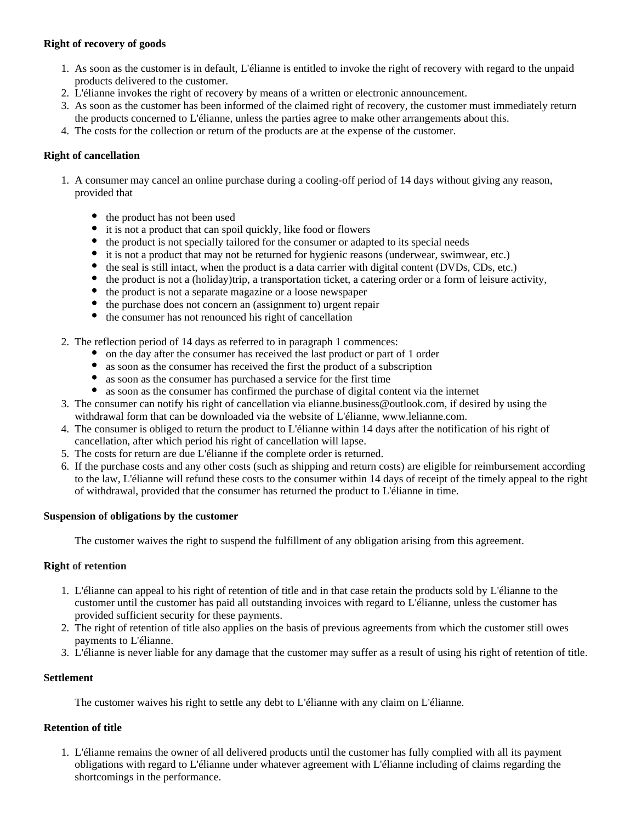# **Right of recovery of goods**

- 1. As soon as the customer is in default, L'élianne is entitled to invoke the right of recovery with regard to the unpaid products delivered to the customer.
- 2. L'élianne invokes the right of recovery by means of a written or electronic announcement.
- 3. As soon as the customer has been informed of the claimed right of recovery, the customer must immediately return the products concerned to L'élianne, unless the parties agree to make other arrangements about this.
- 4. The costs for the collection or return of the products are at the expense of the customer.

### **Right of cancellation**

- 1. A consumer may cancel an online purchase during a cooling-off period of 14 days without giving any reason, provided that
	- the product has not been used
	- it is not a product that can spoil quickly, like food or flowers
	- the product is not specially tailored for the consumer or adapted to its special needs
	- it is not a product that may not be returned for hygienic reasons (underwear, swimwear, etc.)
	- the seal is still intact, when the product is a data carrier with digital content (DVDs, CDs, etc.)
	- the product is not a (holiday)trip, a transportation ticket, a catering order or a form of leisure activity,
	- the product is not a separate magazine or a loose newspaper
	- the purchase does not concern an (assignment to) urgent repair
	- the consumer has not renounced his right of cancellation
- 2. The reflection period of 14 days as referred to in paragraph 1 commences:
	- on the day after the consumer has received the last product or part of 1 order
	- as soon as the consumer has received the first the product of a subscription
	- as soon as the consumer has purchased a service for the first time
	- as soon as the consumer has confirmed the purchase of digital content via the internet
- 3. The consumer can notify his right of cancellation via elianne.business@outlook.com, if desired by using the withdrawal form that can be downloaded via the website of L'élianne, www.lelianne.com.
- 4. The consumer is obliged to return the product to L'élianne within 14 days after the notification of his right of cancellation, after which period his right of cancellation will lapse.
- 5. The costs for return are due L'élianne if the complete order is returned.
- 6. If the purchase costs and any other costs (such as shipping and return costs) are eligible for reimbursement according to the law, L'élianne will refund these costs to the consumer within 14 days of receipt of the timely appeal to the right of withdrawal, provided that the consumer has returned the product to L'élianne in time.

#### **Suspension of obligations by the customer**

The customer waives the right to suspend the fulfillment of any obligation arising from this agreement.

#### **Right of retention**

- 1. L'élianne can appeal to his right of retention of title and in that case retain the products sold by L'élianne to the customer until the customer has paid all outstanding invoices with regard to L'élianne, unless the customer has provided sufficient security for these payments.
- 2. The right of retention of title also applies on the basis of previous agreements from which the customer still owes payments to L'élianne.
- 3. L'élianne is never liable for any damage that the customer may suffer as a result of using his right of retention of title.

#### **Settlement**

The customer waives his right to settle any debt to L'élianne with any claim on L'élianne.

#### **Retention of title**

1. L'élianne remains the owner of all delivered products until the customer has fully complied with all its payment obligations with regard to L'élianne under whatever agreement with L'élianne including of claims regarding the shortcomings in the performance.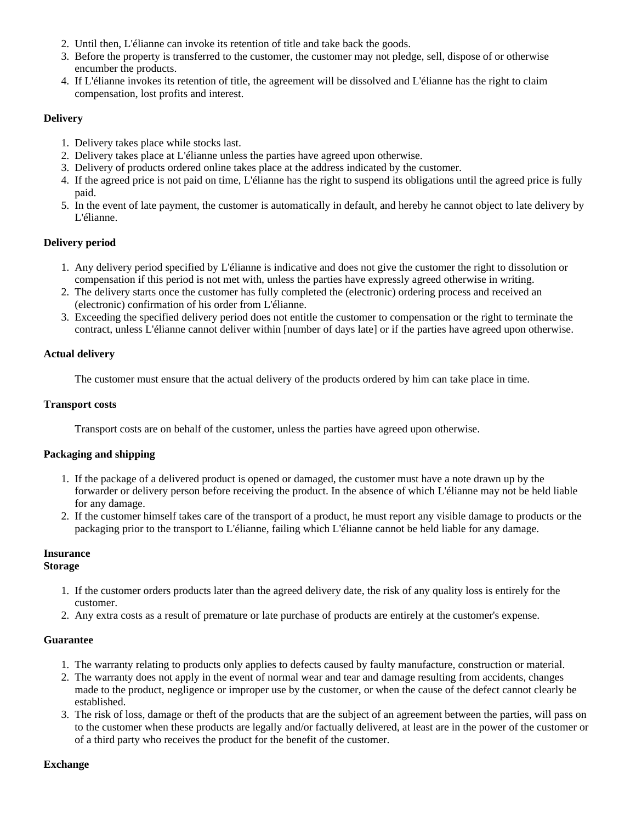- 2. Until then, L'élianne can invoke its retention of title and take back the goods.
- 3. Before the property is transferred to the customer, the customer may not pledge, sell, dispose of or otherwise encumber the products.
- 4. If L'élianne invokes its retention of title, the agreement will be dissolved and L'élianne has the right to claim compensation, lost profits and interest.

### **Delivery**

- 1. Delivery takes place while stocks last.
- 2. Delivery takes place at L'élianne unless the parties have agreed upon otherwise.
- 3. Delivery of products ordered online takes place at the address indicated by the customer.
- 4. If the agreed price is not paid on time, L'élianne has the right to suspend its obligations until the agreed price is fully paid.
- 5. In the event of late payment, the customer is automatically in default, and hereby he cannot object to late delivery by L'élianne.

#### **Delivery period**

- 1. Any delivery period specified by L'élianne is indicative and does not give the customer the right to dissolution or compensation if this period is not met with, unless the parties have expressly agreed otherwise in writing.
- 2. The delivery starts once the customer has fully completed the (electronic) ordering process and received an (electronic) confirmation of his order from L'élianne.
- 3. Exceeding the specified delivery period does not entitle the customer to compensation or the right to terminate the contract, unless L'élianne cannot deliver within [number of days late] or if the parties have agreed upon otherwise.

#### **Actual delivery**

The customer must ensure that the actual delivery of the products ordered by him can take place in time.

#### **Transport costs**

Transport costs are on behalf of the customer, unless the parties have agreed upon otherwise.

### **Packaging and shipping**

- 1. If the package of a delivered product is opened or damaged, the customer must have a note drawn up by the forwarder or delivery person before receiving the product. In the absence of which L'élianne may not be held liable for any damage.
- 2. If the customer himself takes care of the transport of a product, he must report any visible damage to products or the packaging prior to the transport to L'élianne, failing which L'élianne cannot be held liable for any damage.

# **Insurance**

#### **Storage**

- 1. If the customer orders products later than the agreed delivery date, the risk of any quality loss is entirely for the customer.
- 2. Any extra costs as a result of premature or late purchase of products are entirely at the customer's expense.

#### **Guarantee**

- 1. The warranty relating to products only applies to defects caused by faulty manufacture, construction or material.
- 2. The warranty does not apply in the event of normal wear and tear and damage resulting from accidents, changes made to the product, negligence or improper use by the customer, or when the cause of the defect cannot clearly be established.
- 3. The risk of loss, damage or theft of the products that are the subject of an agreement between the parties, will pass on to the customer when these products are legally and/or factually delivered, at least are in the power of the customer or of a third party who receives the product for the benefit of the customer.

### **Exchange**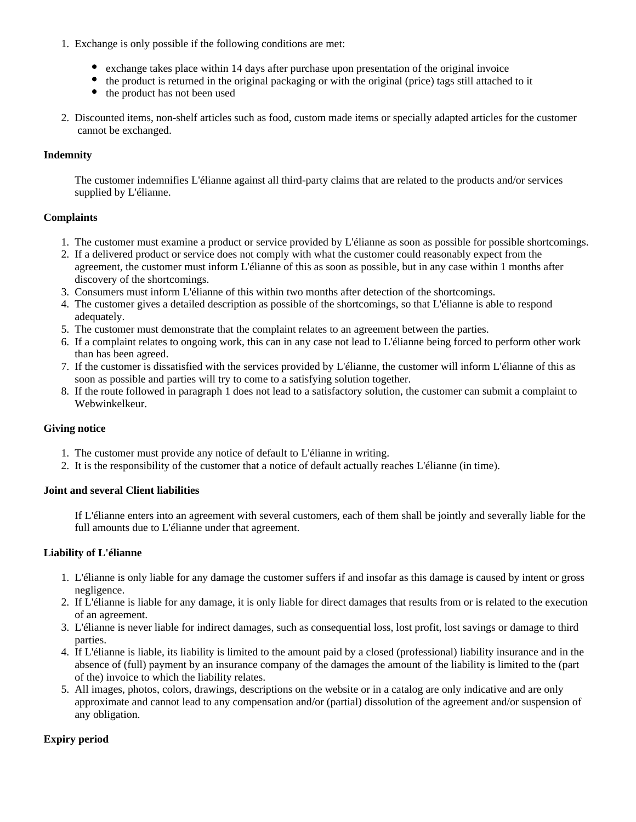- 1. Exchange is only possible if the following conditions are met:
	- exchange takes place within 14 days after purchase upon presentation of the original invoice
	- the product is returned in the original packaging or with the original (price) tags still attached to it
	- the product has not been used
- 2. Discounted items, non-shelf articles such as food, custom made items or specially adapted articles for the customer cannot be exchanged.

### **Indemnity**

The customer indemnifies L'élianne against all third-party claims that are related to the products and/or services supplied by L'élianne.

### **Complaints**

- 1. The customer must examine a product or service provided by L'élianne as soon as possible for possible shortcomings.
- 2. If a delivered product or service does not comply with what the customer could reasonably expect from the agreement, the customer must inform L'élianne of this as soon as possible, but in any case within 1 months after discovery of the shortcomings.
- 3. Consumers must inform L'élianne of this within two months after detection of the shortcomings.
- 4. The customer gives a detailed description as possible of the shortcomings, so that L'élianne is able to respond adequately.
- 5. The customer must demonstrate that the complaint relates to an agreement between the parties.
- 6. If a complaint relates to ongoing work, this can in any case not lead to L'élianne being forced to perform other work than has been agreed.
- 7. If the customer is dissatisfied with the services provided by L'élianne, the customer will inform L'élianne of this as soon as possible and parties will try to come to a satisfying solution together.
- 8. If the route followed in paragraph 1 does not lead to a satisfactory solution, the customer can submit a complaint to Webwinkelkeur.

### **Giving notice**

- 1. The customer must provide any notice of default to L'élianne in writing.
- 2. It is the responsibility of the customer that a notice of default actually reaches L'élianne (in time).

#### **Joint and several Client liabilities**

If L'élianne enters into an agreement with several customers, each of them shall be jointly and severally liable for the full amounts due to L'élianne under that agreement.

### **Liability of L'élianne**

- 1. L'élianne is only liable for any damage the customer suffers if and insofar as this damage is caused by intent or gross negligence.
- 2. If L'élianne is liable for any damage, it is only liable for direct damages that results from or is related to the execution of an agreement.
- 3. L'élianne is never liable for indirect damages, such as consequential loss, lost profit, lost savings or damage to third parties.
- 4. If L'élianne is liable, its liability is limited to the amount paid by a closed (professional) liability insurance and in the absence of (full) payment by an insurance company of the damages the amount of the liability is limited to the (part of the) invoice to which the liability relates.
- 5. All images, photos, colors, drawings, descriptions on the website or in a catalog are only indicative and are only approximate and cannot lead to any compensation and/or (partial) dissolution of the agreement and/or suspension of any obligation.

### **Expiry period**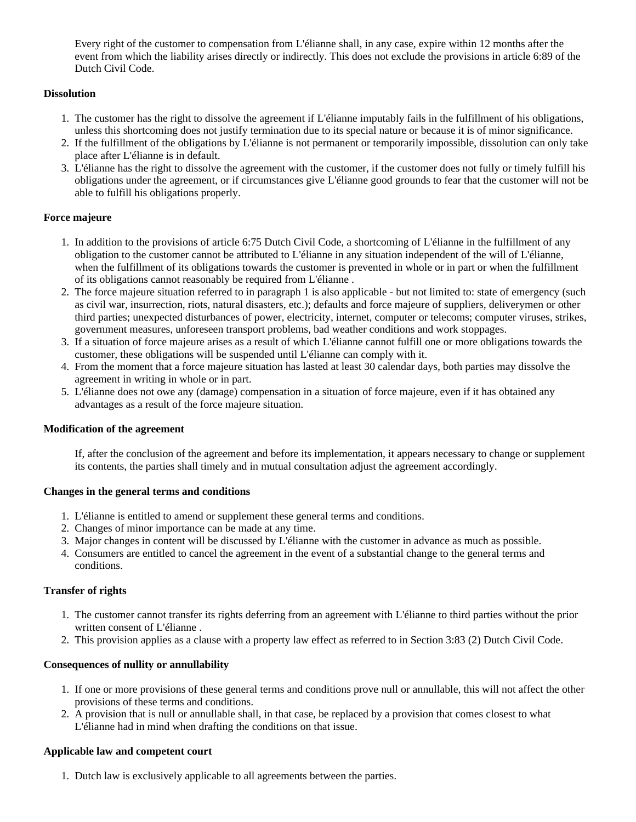Every right of the customer to compensation from L'élianne shall, in any case, expire within 12 months after the event from which the liability arises directly or indirectly. This does not exclude the provisions in article 6:89 of the Dutch Civil Code.

# **Dissolution**

- 1. The customer has the right to dissolve the agreement if L'élianne imputably fails in the fulfillment of his obligations, unless this shortcoming does not justify termination due to its special nature or because it is of minor significance.
- 2. If the fulfillment of the obligations by L'élianne is not permanent or temporarily impossible, dissolution can only take place after L'élianne is in default.
- 3. L'élianne has the right to dissolve the agreement with the customer, if the customer does not fully or timely fulfill his obligations under the agreement, or if circumstances give L'élianne good grounds to fear that the customer will not be able to fulfill his obligations properly.

# **Force majeure**

- 1. In addition to the provisions of article 6:75 Dutch Civil Code, a shortcoming of L'élianne in the fulfillment of any obligation to the customer cannot be attributed to L'élianne in any situation independent of the will of L'élianne, when the fulfillment of its obligations towards the customer is prevented in whole or in part or when the fulfillment of its obligations cannot reasonably be required from L'élianne .
- 2. The force majeure situation referred to in paragraph 1 is also applicable but not limited to: state of emergency (such as civil war, insurrection, riots, natural disasters, etc.); defaults and force majeure of suppliers, deliverymen or other third parties; unexpected disturbances of power, electricity, internet, computer or telecoms; computer viruses, strikes, government measures, unforeseen transport problems, bad weather conditions and work stoppages.
- 3. If a situation of force majeure arises as a result of which L'élianne cannot fulfill one or more obligations towards the customer, these obligations will be suspended until L'élianne can comply with it.
- 4. From the moment that a force majeure situation has lasted at least 30 calendar days, both parties may dissolve the agreement in writing in whole or in part.
- 5. L'élianne does not owe any (damage) compensation in a situation of force majeure, even if it has obtained any advantages as a result of the force majeure situation.

### **Modification of the agreement**

If, after the conclusion of the agreement and before its implementation, it appears necessary to change or supplement its contents, the parties shall timely and in mutual consultation adjust the agreement accordingly.

### **Changes in the general terms and conditions**

- 1. L'élianne is entitled to amend or supplement these general terms and conditions.
- 2. Changes of minor importance can be made at any time.
- 3. Major changes in content will be discussed by L'élianne with the customer in advance as much as possible.
- 4. Consumers are entitled to cancel the agreement in the event of a substantial change to the general terms and conditions.

# **Transfer of rights**

- 1. The customer cannot transfer its rights deferring from an agreement with L'élianne to third parties without the prior written consent of L'élianne .
- 2. This provision applies as a clause with a property law effect as referred to in Section 3:83 (2) Dutch Civil Code.

### **Consequences of nullity or annullability**

- 1. If one or more provisions of these general terms and conditions prove null or annullable, this will not affect the other provisions of these terms and conditions.
- 2. A provision that is null or annullable shall, in that case, be replaced by a provision that comes closest to what L'élianne had in mind when drafting the conditions on that issue.

### **Applicable law and competent court**

1. Dutch law is exclusively applicable to all agreements between the parties.